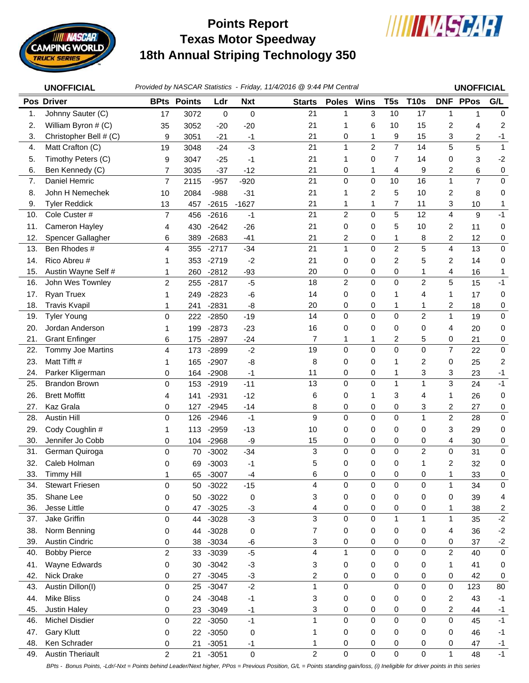

## **Texas Motor Speedway 18th Annual Striping Technology 350 Points Report**



|     | <b>UNOFFICIAL</b>        |                |                    |         |            | Provided by NASCAR Statistics - Friday, 11/4/2016 @ 9:44 PM Central |                |                |                 |                |                | <b>UNOFFICIAL</b> |              |
|-----|--------------------------|----------------|--------------------|---------|------------|---------------------------------------------------------------------|----------------|----------------|-----------------|----------------|----------------|-------------------|--------------|
|     | <b>Pos Driver</b>        |                | <b>BPts Points</b> | Ldr     | <b>Nxt</b> | <b>Starts</b>                                                       | Poles Wins     |                | T <sub>5s</sub> | <b>T10s</b>    |                | <b>DNF PPos</b>   | G/L          |
| 1.  | Johnny Sauter (C)        | 17             | 3072               | 0       | 0          | 21                                                                  | 1              | 3              | 10              | 17             | $\mathbf{1}$   | $\mathbf{1}$      | $\mathbf 0$  |
| 2.  | William Byron # (C)      | 35             | 3052               | $-20$   | $-20$      | 21                                                                  | 1              | 6              | 10              | 15             | 2              | 4                 | 2            |
| 3.  | Christopher Bell # (C)   | 9              | 3051               | -21     | -1         | 21                                                                  | 0              | 1              | 9               | 15             | 3              | 2                 | $-1$         |
| 4.  | Matt Crafton (C)         | 19             | 3048               | $-24$   | $-3$       | 21                                                                  | 1              | $\overline{2}$ | $\overline{7}$  | 14             | 5              | 5                 | $\mathbf{1}$ |
| 5.  | Timothy Peters (C)       | 9              | 3047               | $-25$   | -1         | 21                                                                  | 1              | 0              | 7               | 14             | 0              | 3                 | $-2$         |
| 6.  | Ben Kennedy (C)          | $\overline{7}$ | 3035               | $-37$   | $-12$      | 21                                                                  | 0              | 1              | 4               | 9              | 2              | 6                 | 0            |
| 7.  | Daniel Hemric            | 7              | 2115               | $-957$  | $-920$     | 21                                                                  | $\mathsf 0$    | $\pmb{0}$      | 10              | 16             | $\mathbf{1}$   | $\overline{7}$    | $\pmb{0}$    |
| 8.  | John H Nemechek          | 10             | 2084               | $-988$  | $-31$      | 21                                                                  | 1              | 2              | 5               | 10             | 2              | 8                 | 0            |
| 9.  | <b>Tyler Reddick</b>     | 13             | 457                | $-2615$ | $-1627$    | 21                                                                  | 1              | 1              | $\overline{7}$  | 11             | 3              | 10                | 1            |
| 10. | Cole Custer #            | $\overline{7}$ | 456                | $-2616$ | $-1$       | 21                                                                  | $\overline{c}$ | $\mathbf 0$    | 5               | 12             | 4              | 9                 | $-1$         |
| 11. | Cameron Hayley           | 4              | 430                | $-2642$ | $-26$      | 21                                                                  | 0              | 0              | 5               | 10             | 2              | 11                | 0            |
| 12. | Spencer Gallagher        | 6              | 389                | $-2683$ | $-41$      | 21                                                                  | 2              | 0              | 1               | 8              | 2              | 12                | 0            |
| 13. | Ben Rhodes #             | 4              | 355                | $-2717$ | $-34$      | 21                                                                  | $\mathbf{1}$   | 0              | $\overline{c}$  | 5              | 4              | 13                | 0            |
| 14. | Rico Abreu #             | 1              | 353                | $-2719$ | $-2$       | 21                                                                  | 0              | 0              | 2               | 5              | 2              | 14                | 0            |
| 15. | Austin Wayne Self #      | 1              | 260                | $-2812$ | $-93$      | 20                                                                  | 0              | 0              | 0               | 1              | 4              | 16                | 1            |
| 16. | John Wes Townley         | $\overline{c}$ | 255                | $-2817$ | $-5$       | 18                                                                  | $\overline{c}$ | $\mathbf 0$    | $\Omega$        | $\overline{2}$ | 5              | 15                | $-1$         |
| 17. | <b>Ryan Truex</b>        | 1              | 249                | $-2823$ | $-6$       | 14                                                                  | 0              | 0              | 1               | 4              | 1              | 17                | 0            |
| 18. | <b>Travis Kvapil</b>     | 1              | 241                | $-2831$ | -8         | 20                                                                  | 0              | 0              | 1               | 1              | 2              | 18                | 0            |
| 19. | <b>Tyler Young</b>       | 0              | 222                | $-2850$ | $-19$      | 14                                                                  | 0              | $\mathbf 0$    | $\mathbf 0$     | $\overline{c}$ | $\mathbf{1}$   | 19                | 0            |
| 20. | Jordan Anderson          | 1              | 199                | $-2873$ | $-23$      | 16                                                                  | 0              | 0              | 0               | 0              | 4              | 20                | 0            |
| 21. | <b>Grant Enfinger</b>    | 6              | 175                | $-2897$ | $-24$      | $\overline{7}$                                                      | 1              | 1              | 2               | 5              | 0              | 21                | 0            |
| 22. | <b>Tommy Joe Martins</b> | 4              | 173                | $-2899$ | $-2$       | 19                                                                  | 0              | $\Omega$       | $\Omega$        | $\Omega$       | $\overline{7}$ | 22                | 0            |
| 23. | Matt Tifft #             | 1              | 165                | $-2907$ | -8         | 8                                                                   | 0              | 0              | 1               | 2              | 0              | 25                | 2            |
| 24. | Parker Kligerman         | 0              | 164                | $-2908$ | -1         | 11                                                                  | 0              | 0              | 1               | 3              | 3              | 23                | $-1$         |
| 25. | <b>Brandon Brown</b>     | 0              | 153                | $-2919$ | $-11$      | 13                                                                  | 0              | $\mathbf 0$    | 1               | $\mathbf{1}$   | 3              | 24                | $-1$         |
| 26. | <b>Brett Moffitt</b>     | 4              | 141                | $-2931$ | $-12$      | 6                                                                   | 0              | 1              | 3               | 4              | 1              | 26                | 0            |
| 27. | Kaz Grala                | 0              | 127                | $-2945$ | $-14$      | 8                                                                   | 0              | 0              | 0               | 3              | 2              | 27                | 0            |
| 28. | <b>Austin Hill</b>       | 0              | 126                | $-2946$ | $-1$       | 9                                                                   | 0              | $\mathbf 0$    | $\mathbf 0$     | $\mathbf{1}$   | $\overline{c}$ | 28                | 0            |
| 29. | Cody Coughlin #          | 1              | 113                | $-2959$ | $-13$      | 10                                                                  | 0              | 0              | 0               | 0              | 3              | 29                | 0            |
| 30. | Jennifer Jo Cobb         | 0              | 104                | $-2968$ | -9         | 15                                                                  | 0              | 0              | 0               | 0              | 4              | 30                | 0            |
| 31. | German Quiroga           | 0              | 70                 | $-3002$ | $-34$      | 3                                                                   | 0              | $\mathbf 0$    | $\overline{0}$  | $\overline{c}$ | 0              | 31                | 0            |
| 32. | Caleb Holman             | 0              | 69                 | -3003   | $-1$       | 5                                                                   | 0              | 0              | 0               | 1              | 2              | 32                | 0            |
| 33. | <b>Timmy Hill</b>        | 1              | 65                 | $-3007$ | $-4$       | 6                                                                   | 0              | 0              | 0               | 0              | 1              | 33                | 0            |
| 34. | <b>Stewart Friesen</b>   | 0              | 50                 | $-3022$ | $-15$      | 4                                                                   | 0              | $\mathbf 0$    | $\mathbf 0$     | $\pmb{0}$      | $\mathbf{1}$   | 34                | 0            |
| 35. | Shane Lee                | 0              | 50                 | $-3022$ | 0          | 3                                                                   | 0              | 0              | 0               | 0              | 0              | 39                | 4            |
| 36. | Jesse Little             | 0              | 47                 | $-3025$ | $-3$       | 4                                                                   | 0              | 0              | 0               | 0              | 1              | 38                | 2            |
| 37. | Jake Griffin             | 0              | 44                 | $-3028$ | $-3$       | 3                                                                   | 0              | 0              | $\mathbf{1}$    | $\mathbf{1}$   | 1              | 35                | $-2$         |
| 38. | Norm Benning             | 0              | 44                 | $-3028$ | 0          | 7                                                                   | 0              | 0              | 0               | 0              | 4              | 36                | $-2$         |
| 39. | <b>Austin Cindric</b>    | 0              | 38                 | $-3034$ | -6         | 3                                                                   | 0              | 0              | 0               | 0              | 0              | 37                | $-2$         |
| 40. | <b>Bobby Pierce</b>      | $\overline{c}$ | 33                 | $-3039$ | $-5$       | 4                                                                   | $\mathbf{1}$   | 0              | 0               | $\mathbf 0$    | $\overline{c}$ | 40                | 0            |
| 41. | Wayne Edwards            | 0              | 30                 | $-3042$ | $-3$       | 3                                                                   | 0              | 0              | 0               | 0              | 1              | 41                | 0            |
| 42. | Nick Drake               | 0              | 27                 | $-3045$ | $-3$       | 2                                                                   | 0              | 0              | 0               | 0              | 0              | 42                | 0            |
| 43. | Austin Dillon(I)         | 0              | 25                 | $-3047$ | $-2$       | 1                                                                   | 0              |                | $\mathbf 0$     | $\mathbf 0$    | 0              | 123               | 80           |
| 44. | <b>Mike Bliss</b>        | 0              | 24                 | $-3048$ | $-1$       | 3                                                                   | 0              | 0              | 0               | 0              | 2              | 43                | $-1$         |
| 45. | <b>Justin Haley</b>      | 0              | 23                 | $-3049$ | -1         | 3                                                                   | 0              | 0              | 0               | 0              | 2              | 44                | $-1$         |
| 46. | <b>Michel Disdier</b>    | 0              | 22                 | $-3050$ | $-1$       | 1                                                                   | 0              | $\mathbf 0$    | $\mathbf 0$     | $\mathbf 0$    | 0              | 45                | $-1$         |
| 47. | <b>Gary Klutt</b>        | 0              | 22                 | $-3050$ | 0          | 1                                                                   | 0              | 0              | 0               | 0              | 0              | 46                | $-1$         |
| 48. | Ken Schrader             | 0              | 21                 | $-3051$ | $-1$       | 1                                                                   | 0              | 0              | 0               | 0              | 0              | 47                | $-1$         |

49. Austin Theriault 2 21 -3051 0 2 0 0 0 0 1 48 -1 *BPts - Bonus Points, -Ldr/-Nxt = Points behind Leader/Next higher, PPos = Previous Position, G/L = Points standing gain/loss, (i) Ineligible for driver points in this series*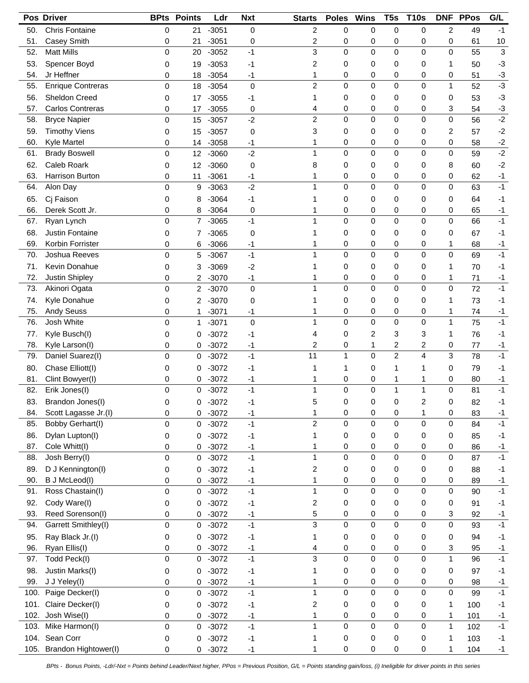|            | Pos Driver                         | <b>BPts</b>      | <b>Points</b> | Ldr                | <b>Nxt</b>        | <b>Starts</b>        | <b>Poles</b> | <b>Wins</b>      | T <sub>5s</sub>     | <b>T10s</b>      |                  | <b>DNF PPos</b> | G/L          |
|------------|------------------------------------|------------------|---------------|--------------------|-------------------|----------------------|--------------|------------------|---------------------|------------------|------------------|-----------------|--------------|
| 50.        | <b>Chris Fontaine</b>              | 0                | 21            | $-3051$            | 0                 | $\overline{2}$       | 0            | 0                | 0                   | 0                | $\overline{c}$   | 49              | $-1$         |
| 51.        | Casey Smith                        | 0                | 21            | $-3051$            | 0                 | $\overline{c}$       | 0            | 0                | 0                   | 0                | 0                | 61              | 10           |
| 52.        | <b>Matt Mills</b>                  | $\Omega$         | 20            | $-3052$            | $-1$              | 3                    | 0            | 0                | 0                   | $\mathbf 0$      | 0                | 55              | 3            |
| 53.        | Spencer Boyd                       | 0                | 19            | $-3053$            | -1                | $\overline{2}$       | 0            | 0                | 0                   | 0                | 1                | 50              | $-3$         |
| 54.        | Jr Heffner                         | 0                | 18            | $-3054$            | $-1$              | 1                    | 0            | 0                | 0                   | 0                | 0                | 51              | $-3$         |
| 55.        | <b>Enrique Contreras</b>           | 0                | 18            | $-3054$            | $\mathbf 0$       | $\overline{2}$       | 0            | 0                | $\mathbf 0$         | $\mathbf 0$      | $\mathbf{1}$     | 52              | $-3$         |
| 56.        | Sheldon Creed                      | 0                | 17            | $-3055$            | -1                | 1                    | 0            | 0                | 0                   | 0                | 0                | 53              | $-3$         |
| 57.        | <b>Carlos Contreras</b>            | 0                | 17            | $-3055$            | 0                 | 4                    | 0            | 0                | 0                   | 0                | 3                | 54              | $-3$         |
| 58.        | <b>Bryce Napier</b>                | 0                | 15            | $-3057$            | $-2$              | $\overline{c}$       | 0            | 0                | 0                   | $\mathbf 0$      | $\mathsf 0$      | 56              | $-2$         |
| 59.        | <b>Timothy Viens</b>               | 0                | 15            | $-3057$            | 0                 | 3                    | 0            | 0                | 0                   | 0                | 2                | 57              | $-2$         |
| 60.        | Kyle Martel                        | 0                | 14            | $-3058$            | $-1$              | 1                    | 0            | 0                | 0                   | 0                | 0                | 58              | $-2$         |
| 61.        | <b>Brady Boswell</b>               | 0                | 12            | $-3060$            | $-2$              | 1                    | 0            | 0                | 0                   | $\mathbf 0$      | 0                | 59              | $-2$         |
| 62.        | Caleb Roark                        | 0                | 12            | $-3060$            | 0                 | 8                    | 0            | 0                | 0                   | 0                | 8                | 60              | $-2$         |
| 63.        | Harrison Burton                    | 0                | 11            | $-3061$            | -1                | 1                    | 0            | 0                | 0                   | 0                | 0                | 62              | $-1$         |
| 64.        | Alon Day                           | 0                | 9             | $-3063$            | $-2$              | 1                    | 0            | 0                | 0                   | 0                | 0                | 63              | $-1$         |
| 65.        | Cj Faison                          | 0                | 8             | $-3064$            | $-1$              | 1                    | 0            | 0                | 0                   | 0                | 0                | 64              | $-1$         |
| 66.        | Derek Scott Jr.                    | 0                | 8             | $-3064$            | 0                 | 1                    | 0            | 0                | 0                   | 0                | 0                | 65              | $-1$         |
| 67.        | Ryan Lynch                         | 0                | 7             | $-3065$            | $-1$              | 1                    | 0            | 0                | 0                   | 0                | 0                | 66              | $-1$         |
| 68.        | Justin Fontaine                    | 0                | 7             | $-3065$            | 0                 | 1                    | 0            | 0                | 0                   | 0                | 0                | 67              | $-1$         |
| 69.        | Korbin Forrister                   | 0                | 6             | $-3066$            | $-1$              | 1                    | 0            | 0                | 0                   | 0                | 1                | 68              | $-1$         |
| 70.        | Joshua Reeves                      | 0                | 5             | $-3067$            | $-1$              | 1                    | 0            | 0                | 0                   | 0                | 0                | 69              | $-1$         |
| 71.        | Kevin Donahue                      | 0                | 3             | $-3069$            | $-2$              | 1                    | 0            | 0                | 0                   | 0                | 1                | 70              | $-1$         |
| 72.        | <b>Justin Shipley</b>              | 0                | 2             | $-3070$            | $-1$              | 1                    | 0            | 0                | 0                   | 0                | 1                | 71              | $-1$         |
| 73.        | Akinori Ogata                      | 0                | 2             | $-3070$            | $\mathbf 0$       | 1                    | 0            | 0                | 0                   | $\mathbf 0$      | 0                | 72              | $-1$         |
| 74.        | Kyle Donahue                       | 0                | 2             | $-3070$            |                   | 1                    | 0            | 0                | 0                   | 0                | 1                |                 | $-1$         |
| 75.        | <b>Andy Seuss</b>                  |                  |               |                    | 0                 | 1                    | 0            | 0                | 0                   | 0                | 1                | 73              |              |
| 76.        | Josh White                         | 0<br>$\Omega$    | 1<br>1        | $-3071$<br>$-3071$ | -1<br>$\mathbf 0$ | 1                    | 0            | 0                | 0                   | $\mathbf 0$      | $\mathbf{1}$     | 74<br>75        | $-1$<br>$-1$ |
|            |                                    |                  |               |                    |                   |                      |              |                  |                     |                  |                  |                 |              |
| 77.        | Kyle Busch(I)                      | 0                | 0             | $-3072$            | -1                | 4                    | 0            | 2                | 3                   | 3                | 1                | 76              | -1           |
| 78.<br>79. | Kyle Larson(I)<br>Daniel Suarez(I) | 0<br>$\mathbf 0$ | 0             | $-3072$            | $-1$<br>$-1$      | $\overline{c}$<br>11 | 0<br>1       | 1<br>0           | 2<br>$\overline{2}$ | 2<br>4           | 0<br>3           | 77<br>78        | $-1$<br>$-1$ |
|            | Chase Elliott(I)                   |                  | 0             | $-3072$            |                   |                      |              |                  |                     |                  |                  |                 |              |
| 80.        |                                    | 0                | 0             | $-3072$            | $-1$              | 1                    | 1            | 0                | 1                   | 1                | 0                | 79              | $-1$         |
| 81.<br>82. | Clint Bowyer(I)                    | 0                | 0             | $-3072$            | -1                | 1<br>1               | 0<br>0       | 0<br>0           | 1<br>$\mathbf{1}$   | 1<br>1           | 0<br>$\mathbf 0$ | 80              | $-1$<br>$-1$ |
|            | Erik Jones(I)                      | $\mathbf 0$      | 0             | $-3072$            | $-1$              |                      |              |                  |                     |                  |                  | 81              |              |
| 83.        | Brandon Jones(I)                   | $\pmb{0}$        | $\pmb{0}$     | $-3072$            | $-1$              | 5                    | $\pmb{0}$    | $\pmb{0}$        | 0                   | $\overline{c}$   | $\mathbf 0$      | 82              | $-1$         |
| 84.        | Scott Lagasse Jr.(I)               | 0                | 0             | $-3072$            | $-1$              | 1<br>$\overline{2}$  | 0<br>0       | 0<br>0           | 0<br>0              | 1<br>$\pmb{0}$   | 0<br>0           | 83              | $-1$<br>$-1$ |
| 85.        | Bobby Gerhart(I)                   | 0                | 0             | $-3072$            | $-1$              |                      |              |                  |                     |                  |                  | 84              |              |
| 86.        | Dylan Lupton(I)                    | 0                | 0             | $-3072$            | $-1$              | 1                    | 0            | 0                | 0                   | 0                | 0                | 85              | $-1$         |
| 87.        | Cole Whitt(I)<br>Josh Berry(I)     | 0                | 0             | $-3072$            | $-1$              | 1<br>$\mathbf{1}$    | 0<br>0       | 0<br>0           | 0<br>$\mathbf 0$    | 0                | 0                | 86              | $-1$         |
| 88.        |                                    | $\mathbf 0$      | 0             | $-3072$            | $-1$              |                      |              |                  |                     | $\mathbf 0$      | 0                | 87              | $-1$         |
| 89.        | D J Kennington(I)                  | 0                | 0             | $-3072$            | $-1$              | $\overline{c}$       | 0            | 0                | 0                   | 0                | 0                | 88              | $-1$         |
| 90.        | B J McLeod(I)                      | 0                | 0             | $-3072$            | $-1$              | 1<br>$\mathbf{1}$    | 0<br>0       | 0<br>$\mathsf 0$ | 0<br>$\mathbf 0$    | 0<br>$\mathbf 0$ | 0<br>0           | 89              | $-1$<br>$-1$ |
| 91.        | Ross Chastain(I)                   | 0                | 0             | $-3072$            | $-1$              |                      |              |                  |                     |                  |                  | 90              |              |
| 92.        | Cody Ware(I)                       | 0                | 0             | $-3072$            | $-1$              | $\overline{c}$       | 0            | 0                | 0                   | 0                | 0                | 91              | $-1$         |
| 93.        | Reed Sorenson(I)                   | 0                | 0             | $-3072$            | -1                | 5                    | 0            | 0                | 0                   | 0                | 3                | 92              | $-1$         |
| 94.        | Garrett Smithley(I)                | 0                | 0             | $-3072$            | $-1$              | 3                    | 0            | 0                | 0                   | 0                | 0                | 93              | $-1$         |
| 95.        | Ray Black Jr.(I)                   | 0                | 0             | $-3072$            | $-1$              | 1                    | 0            | 0                | 0                   | 0                | 0                | 94              | $-1$         |
| 96.        | Ryan Ellis(I)                      | 0                | 0             | $-3072$            | $-1$              | 4                    | 0            | 0                | 0                   | 0                | 3                | 95              | $-1$         |
| 97.        | Todd Peck(I)                       | 0                | 0             | $-3072$            | $-1$              | 3                    | 0            | 0                | 0                   | 0                | $\mathbf{1}$     | 96              | $-1$         |
| 98.        | Justin Marks(I)                    | 0                | 0             | $-3072$            | $-1$              | 1                    | 0            | 0                | 0                   | 0                | 0                | 97              | $-1$         |
| 99.        | J J Yeley(I)                       | 0                | 0             | $-3072$            | $-1$              | 1                    | 0            | 0                | 0                   | 0                | 0                | 98              | $-1$         |
| 100.       | Paige Decker(I)                    | $\mathbf 0$      | 0             | $-3072$            | $-1$              | $\mathbf{1}$         | 0            | 0                | $\mathbf 0$         | $\mathbf 0$      | $\mathsf 0$      | 99              | $-1$         |
| 101.       | Claire Decker(I)                   | 0                | 0             | $-3072$            | $-1$              | $\overline{c}$       | 0            | 0                | 0                   | 0                | 1                | 100             | $-1$         |
| 102.       | Josh Wise(I)                       | 0                | 0             | $-3072$            | $-1$              | 1                    | 0            | 0                | 0                   | 0                | 1                | 101             | $-1$         |
| 103.       | Mike Harmon(I)                     | 0                | 0             | $-3072$            | $-1$              | $\mathbf{1}$         | 0            | 0                | 0                   | $\mathbf 0$      | $\mathbf{1}$     | 102             | $-1$         |
| 104.       | Sean Corr                          | 0                | 0             | $-3072$            | $-1$              | 1                    | 0            | 0                | 0                   | 0                | 1                | 103             | $-1$         |
| 105.       | Brandon Hightower(I)               | $\pmb{0}$        | 0             | $-3072$            | $-1$              | 1                    | 0            | 0                | 0                   | 0                | 1                | 104             | $-1$         |

*BPts - Bonus Points, -Ldr/-Nxt = Points behind Leader/Next higher, PPos = Previous Position, G/L = Points standing gain/loss, (i) Ineligible for driver points in this series*